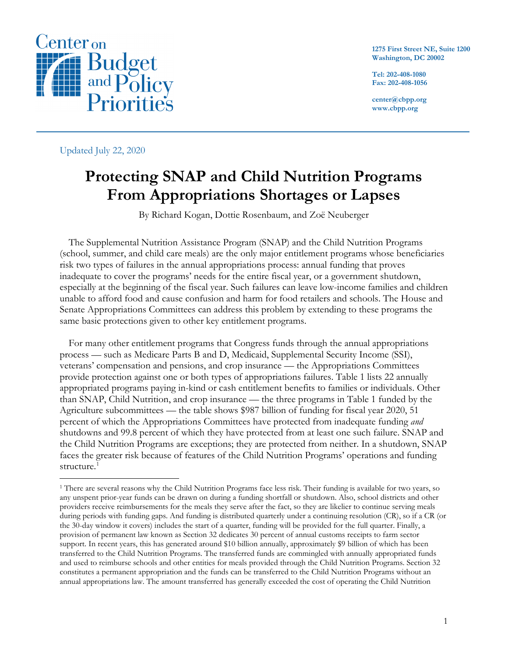

**1275 First Street NE, Suite 1200 Washington, DC 20002**

**Tel: 202-408-1080 Fax: 202-408-1056**

**center@cbpp.org www.cbpp.org**

Updated July 22, 2020

# **Protecting SNAP and Child Nutrition Programs From Appropriations Shortages or Lapses**

By Richard Kogan, Dottie Rosenbaum, and Zoë Neuberger

The Supplemental Nutrition Assistance Program (SNAP) and the Child Nutrition Programs (school, summer, and child care meals) are the only major entitlement programs whose beneficiaries risk two types of failures in the annual appropriations process: annual funding that proves inadequate to cover the programs' needs for the entire fiscal year, or a government shutdown, especially at the beginning of the fiscal year. Such failures can leave low-income families and children unable to afford food and cause confusion and harm for food retailers and schools. The House and Senate Appropriations Committees can address this problem by extending to these programs the same basic protections given to other key entitlement programs.

For many other entitlement programs that Congress funds through the annual appropriations process — such as Medicare Parts B and D, Medicaid, Supplemental Security Income (SSI), veterans' compensation and pensions, and crop insurance — the Appropriations Committees provide protection against one or both types of appropriations failures. Table 1 lists 22 annually appropriated programs paying in-kind or cash entitlement benefits to families or individuals. Other than SNAP, Child Nutrition, and crop insurance — the three programs in Table 1 funded by the Agriculture subcommittees — the table shows \$987 billion of funding for fiscal year 2020, 51 percent of which the Appropriations Committees have protected from inadequate funding *and* shutdowns and 99.8 percent of which they have protected from at least one such failure. SNAP and the Child Nutrition Programs are exceptions; they are protected from neither. In a shutdown, SNAP faces the greater risk because of features of the Child Nutrition Programs' operations and funding structure. [1](#page-0-0)

<span id="page-0-0"></span><sup>&</sup>lt;sup>1</sup> There are several reasons why the Child Nutrition Programs face less risk. Their funding is available for two years, so any unspent prior-year funds can be drawn on during a funding shortfall or shutdown. Also, school districts and other providers receive reimbursements for the meals they serve after the fact, so they are likelier to continue serving meals during periods with funding gaps. And funding is distributed quarterly under a continuing resolution (CR), so if a CR (or the 30-day window it covers) includes the start of a quarter, funding will be provided for the full quarter. Finally, a provision of permanent law known as Section 32 dedicates 30 percent of annual customs receipts to farm sector support. In recent years, this has generated around \$10 billion annually, approximately \$9 billion of which has been transferred to the Child Nutrition Programs. The transferred funds are commingled with annually appropriated funds and used to reimburse schools and other entities for meals provided through the Child Nutrition Programs. Section 32 constitutes a permanent appropriation and the funds can be transferred to the Child Nutrition Programs without an annual appropriations law. The amount transferred has generally exceeded the cost of operating the Child Nutrition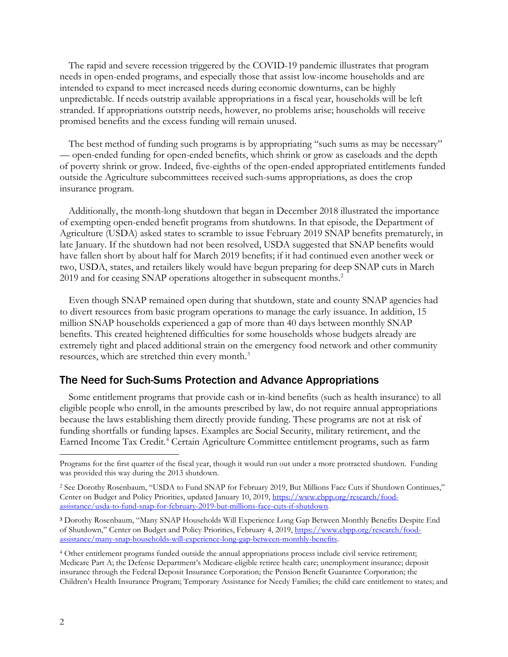The rapid and severe recession triggered by the COVID-19 pandemic illustrates that program needs in open-ended programs, and especially those that assist low-income households and are intended to expand to meet increased needs during economic downturns, can be highly unpredictable. If needs outstrip available appropriations in a fiscal year, households will be left stranded. If appropriations outstrip needs, however, no problems arise; households will receive promised benefits and the excess funding will remain unused.

The best method of funding such programs is by appropriating "such sums as may be necessary" — open-ended funding for open-ended benefits, which shrink or grow as caseloads and the depth of poverty shrink or grow. Indeed, five-eighths of the open-ended appropriated entitlements funded outside the Agriculture subcommittees received such-sums appropriations, as does the crop insurance program.

Additionally, the month-long shutdown that began in December 2018 illustrated the importance of exempting open-ended benefit programs from shutdowns. In that episode, the Department of Agriculture (USDA) asked states to scramble to issue February 2019 SNAP benefits prematurely, in late January. If the shutdown had not been resolved, USDA suggested that SNAP benefits would have fallen short by about half for March 2019 benefits; if it had continued even another week or two, USDA, states, and retailers likely would have begun preparing for deep SNAP cuts in March 2019 and for ceasing SNAP operations altogether in subsequent months. [2](#page-1-0)

Even though SNAP remained open during that shutdown, state and county SNAP agencies had to divert resources from basic program operations to manage the early issuance. In addition, 15 million SNAP households experienced a gap of more than 40 days between monthly SNAP benefits. This created heightened difficulties for some households whose budgets already are extremely tight and placed additional strain on the emergency food network and other community resources, which are stretched thin every month. [3](#page-1-1)

## The Need for Such-Sums Protection and Advance Appropriations

Some entitlement programs that provide cash or in-kind benefits (such as health insurance) to all eligible people who enroll, in the amounts prescribed by law, do not require annual appropriations because the laws establishing them directly provide funding. These programs are not at risk of funding shortfalls or funding lapses. Examples are Social Security, military retirement, and the Earned Income Tax Credit.<sup>[4](#page-1-2)</sup> Certain Agriculture Committee entitlement programs, such as farm

Programs for the first quarter of the fiscal year, though it would run out under a more protracted shutdown. Funding was provided this way during the 2013 shutdown.

<span id="page-1-0"></span><sup>2</sup> See Dorothy Rosenbaum, "USDA to Fund SNAP for February 2019, But Millions Face Cuts if Shutdown Continues," Center on Budget and Policy Priorities, updated January 10, 2019, [https://www.cbpp.org/research/food](https://www.cbpp.org/research/food-assistance/usda-to-fund-snap-for-february-2019-but-millions-face-cuts-if-shutdown)[assistance/usda-to-fund-snap-for-february-2019-but-millions-face-cuts-if-shutdown.](https://www.cbpp.org/research/food-assistance/usda-to-fund-snap-for-february-2019-but-millions-face-cuts-if-shutdown)

<span id="page-1-1"></span>**<sup>3</sup>** Dorothy Rosenbaum, "Many SNAP Households Will Experience Long Gap Between Monthly Benefits Despite End of Shutdown," Center on Budget and Policy Priorities, February 4, 2019, [https://www.cbpp.org/research/food](https://www.cbpp.org/research/food-assistance/many-snap-households-will-experience-long-gap-between-monthly-benefits)[assistance/many-snap-households-will-experience-long-gap-between-monthly-benefits.](https://www.cbpp.org/research/food-assistance/many-snap-households-will-experience-long-gap-between-monthly-benefits)

<span id="page-1-2"></span><sup>4</sup> Other entitlement programs funded outside the annual appropriations process include civil service retirement; Medicare Part A; the Defense Department's Medicare-eligible retiree health care; unemployment insurance; deposit insurance through the Federal Deposit Insurance Corporation; the Pension Benefit Guarantee Corporation; the Children's Health Insurance Program; Temporary Assistance for Needy Families; the child care entitlement to states; and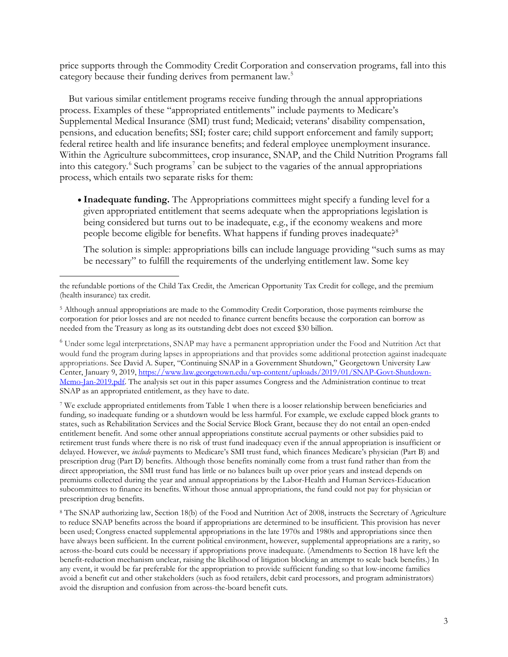price supports through the Commodity Credit Corporation and conservation programs, fall into this category because their funding derives from permanent law.<sup>[5](#page-2-0)</sup>

But various similar entitlement programs receive funding through the annual appropriations process. Examples of these "appropriated entitlements" include payments to Medicare's Supplemental Medical Insurance (SMI) trust fund; Medicaid; veterans' disability compensation, pensions, and education benefits; SSI; foster care; child support enforcement and family support; federal retiree health and life insurance benefits; and federal employee unemployment insurance. Within the Agriculture subcommittees, crop insurance, SNAP, and the Child Nutrition Programs fall into this category. $6$  Such programs<sup>[7](#page-2-2)</sup> can be subject to the vagaries of the annual appropriations process, which entails two separate risks for them:

• **Inadequate funding.** The Appropriations committees might specify a funding level for a given appropriated entitlement that seems adequate when the appropriations legislation is being considered but turns out to be inadequate, e.g., if the economy weakens and more people become eligible for benefits. What happens if funding proves inadequate?<sup>[8](#page-2-3)</sup>

The solution is simple: appropriations bills can include language providing "such sums as may be necessary" to fulfill the requirements of the underlying entitlement law. Some key

<span id="page-2-1"></span><sup>6</sup> Under some legal interpretations, SNAP may have a permanent appropriation under the Food and Nutrition Act that would fund the program during lapses in appropriations and that provides some additional protection against inadequate appropriations. See David A. Super, "Continuing SNAP in a Government Shutdown," Georgetown University Law Center, January 9, 2019, [https://www.law.georgetown.edu/wp-content/uploads/2019/01/SNAP-Govt-Shutdown-](https://urldefense.proofpoint.com/v2/url?u=https-3A__www.law.georgetown.edu_wp-2Dcontent_uploads_2019_01_SNAP-2DGovt-2DShutdown-2DMemo-2DJan-2D2019.pdf&d=DwMFaQ&c=1IUvw6fBZaO6DQT7_qzSfw&r=3194wSOeS3tXXB_DkWSTjOSQ04IP5AcUynL9IxKy270&m=lXxaqCdHFTRPp7hmQl6UFJf-AU-CvNZqeUIt29WK1a0&s=Qn_D4lh1p97QuZSbJlLb3-xKlWHXlD-OAEMcO5ggHko&e=)[Memo-Jan-2019.pdf.](https://urldefense.proofpoint.com/v2/url?u=https-3A__www.law.georgetown.edu_wp-2Dcontent_uploads_2019_01_SNAP-2DGovt-2DShutdown-2DMemo-2DJan-2D2019.pdf&d=DwMFaQ&c=1IUvw6fBZaO6DQT7_qzSfw&r=3194wSOeS3tXXB_DkWSTjOSQ04IP5AcUynL9IxKy270&m=lXxaqCdHFTRPp7hmQl6UFJf-AU-CvNZqeUIt29WK1a0&s=Qn_D4lh1p97QuZSbJlLb3-xKlWHXlD-OAEMcO5ggHko&e=) The analysis set out in this paper assumes Congress and the Administration continue to treat SNAP as an appropriated entitlement, as they have to date.

<span id="page-2-2"></span><sup>7</sup> We exclude appropriated entitlements from Table 1 when there is a looser relationship between beneficiaries and funding, so inadequate funding or a shutdown would be less harmful. For example, we exclude capped block grants to states, such as Rehabilitation Services and the Social Service Block Grant, because they do not entail an open-ended entitlement benefit. And some other annual appropriations constitute accrual payments or other subsidies paid to retirement trust funds where there is no risk of trust fund inadequacy even if the annual appropriation is insufficient or delayed. However, we *include* payments to Medicare's SMI trust fund, which finances Medicare's physician (Part B) and prescription drug (Part D) benefits. Although those benefits nominally come from a trust fund rather than from the direct appropriation, the SMI trust fund has little or no balances built up over prior years and instead depends on premiums collected during the year and annual appropriations by the Labor-Health and Human Services-Education subcommittees to finance its benefits. Without those annual appropriations, the fund could not pay for physician or prescription drug benefits.

<span id="page-2-3"></span><sup>8</sup> The SNAP authorizing law, Section 18(b) of the Food and Nutrition Act of 2008, instructs the Secretary of Agriculture to reduce SNAP benefits across the board if appropriations are determined to be insufficient. This provision has never been used; Congress enacted supplemental appropriations in the late 1970s and 1980s and appropriations since then have always been sufficient. In the current political environment, however, supplemental appropriations are a rarity, so across-the-board cuts could be necessary if appropriations prove inadequate. (Amendments to Section 18 have left the benefit-reduction mechanism unclear, raising the likelihood of litigation blocking an attempt to scale back benefits.) In any event, it would be far preferable for the appropriation to provide sufficient funding so that low-income families avoid a benefit cut and other stakeholders (such as food retailers, debit card processors, and program administrators) avoid the disruption and confusion from across-the-board benefit cuts.

the refundable portions of the Child Tax Credit, the American Opportunity Tax Credit for college, and the premium (health insurance) tax credit.

<span id="page-2-0"></span><sup>5</sup> Although annual appropriations are made to the Commodity Credit Corporation, those payments reimburse the corporation for prior losses and are not needed to finance current benefits because the corporation can borrow as needed from the Treasury as long as its outstanding debt does not exceed \$30 billion.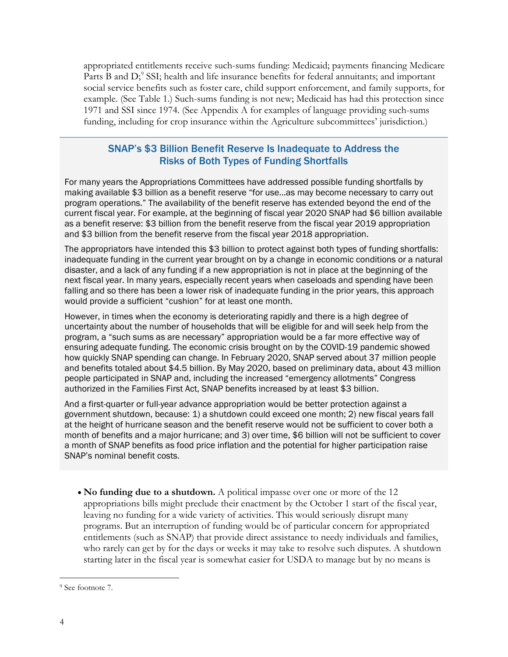appropriated entitlements receive such-sums funding: Medicaid; payments financing Medicare Parts B and D;<sup>[9](#page-3-0)</sup> SSI; health and life insurance benefits for federal annuitants; and important social service benefits such as foster care, child support enforcement, and family supports, for example. (See Table 1.) Such-sums funding is not new; Medicaid has had this protection since 1971 and SSI since 1974. (See Appendix A for examples of language providing such-sums funding, including for crop insurance within the Agriculture subcommittees' jurisdiction.)

## SNAP's \$3 Billion Benefit Reserve Is Inadequate to Address the Risks of Both Types of Funding Shortfalls

For many years the Appropriations Committees have addressed possible funding shortfalls by making available \$3 billion as a benefit reserve "for use…as may become necessary to carry out program operations." The availability of the benefit reserve has extended beyond the end of the current fiscal year. For example, at the beginning of fiscal year 2020 SNAP had \$6 billion available as a benefit reserve: \$3 billion from the benefit reserve from the fiscal year 2019 appropriation and \$3 billion from the benefit reserve from the fiscal year 2018 appropriation.

The appropriators have intended this \$3 billion to protect against both types of funding shortfalls: inadequate funding in the current year brought on by a change in economic conditions or a natural disaster, and a lack of any funding if a new appropriation is not in place at the beginning of the next fiscal year. In many years, especially recent years when caseloads and spending have been falling and so there has been a lower risk of inadequate funding in the prior years, this approach would provide a sufficient "cushion" for at least one month.

However, in times when the economy is deteriorating rapidly and there is a high degree of uncertainty about the number of households that will be eligible for and will seek help from the program, a "such sums as are necessary" appropriation would be a far more effective way of ensuring adequate funding. The economic crisis brought on by the COVID-19 pandemic showed how quickly SNAP spending can change. In February 2020, SNAP served about 37 million people and benefits totaled about \$4.5 billion. By May 2020, based on preliminary data, about 43 million people participated in SNAP and, including the increased "emergency allotments" Congress authorized in the Families First Act, SNAP benefits increased by at least \$3 billion.

And a first-quarter or full-year advance appropriation would be better protection against a government shutdown, because: 1) a shutdown could exceed one month; 2) new fiscal years fall at the height of hurricane season and the benefit reserve would not be sufficient to cover both a month of benefits and a major hurricane; and 3) over time, \$6 billion will not be sufficient to cover a month of SNAP benefits as food price inflation and the potential for higher participation raise SNAP's nominal benefit costs.

• **No funding due to a shutdown.** A political impasse over one or more of the 12 appropriations bills might preclude their enactment by the October 1 start of the fiscal year, leaving no funding for a wide variety of activities. This would seriously disrupt many programs. But an interruption of funding would be of particular concern for appropriated entitlements (such as SNAP) that provide direct assistance to needy individuals and families, who rarely can get by for the days or weeks it may take to resolve such disputes. A shutdown starting later in the fiscal year is somewhat easier for USDA to manage but by no means is

<span id="page-3-0"></span><sup>9</sup> See footnote 7.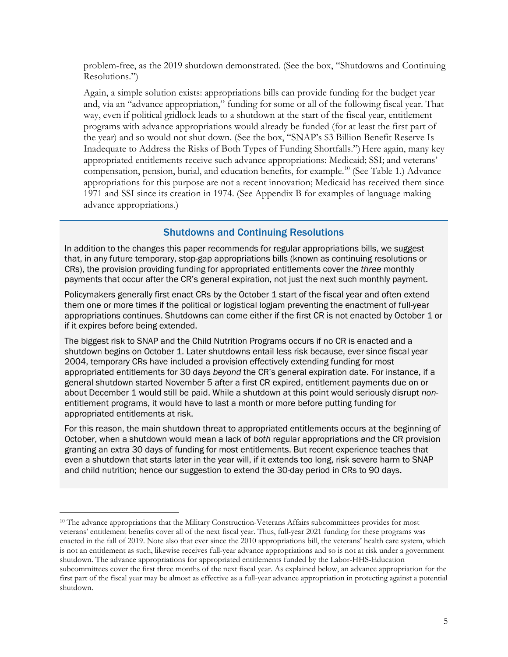problem-free, as the 2019 shutdown demonstrated. (See the box, "Shutdowns and Continuing Resolutions.")

Again, a simple solution exists: appropriations bills can provide funding for the budget year and, via an "advance appropriation," funding for some or all of the following fiscal year. That way, even if political gridlock leads to a shutdown at the start of the fiscal year, entitlement programs with advance appropriations would already be funded (for at least the first part of the year) and so would not shut down. (See the box, "SNAP's \$3 Billion Benefit Reserve Is Inadequate to Address the Risks of Both Types of Funding Shortfalls.") Here again, many key appropriated entitlements receive such advance appropriations: Medicaid; SSI; and veterans' compensation, pension, burial, and education benefits, for example.[10](#page-4-0) (See Table 1.) Advance appropriations for this purpose are not a recent innovation; Medicaid has received them since 1971 and SSI since its creation in 1974. (See Appendix B for examples of language making advance appropriations.)

## Shutdowns and Continuing Resolutions

In addition to the changes this paper recommends for regular appropriations bills, we suggest that, in any future temporary, stop-gap appropriations bills (known as continuing resolutions or CRs), the provision providing funding for appropriated entitlements cover the *three* monthly payments that occur after the CR's general expiration, not just the next such monthly payment.

Policymakers generally first enact CRs by the October 1 start of the fiscal year and often extend them one or more times if the political or logistical logjam preventing the enactment of full-year appropriations continues. Shutdowns can come either if the first CR is not enacted by October 1 or if it expires before being extended.

The biggest risk to SNAP and the Child Nutrition Programs occurs if no CR is enacted and a shutdown begins on October 1. Later shutdowns entail less risk because, ever since fiscal year 2004, temporary CRs have included a provision effectively extending funding for most appropriated entitlements for 30 days *beyond* the CR's general expiration date. For instance, if a general shutdown started November 5 after a first CR expired, entitlement payments due on or about December 1 would still be paid. While a shutdown at this point would seriously disrupt *non*entitlement programs, it would have to last a month or more before putting funding for appropriated entitlements at risk.

For this reason, the main shutdown threat to appropriated entitlements occurs at the beginning of October, when a shutdown would mean a lack of *both* regular appropriations *and* the CR provision granting an extra 30 days of funding for most entitlements. But recent experience teaches that even a shutdown that starts later in the year will, if it extends too long, risk severe harm to SNAP and child nutrition; hence our suggestion to extend the 30-day period in CRs to 90 days.

<span id="page-4-0"></span><sup>&</sup>lt;sup>10</sup> The advance appropriations that the Military Construction-Veterans Affairs subcommittees provides for most veterans' entitlement benefits cover all of the next fiscal year. Thus, full-year 2021 funding for these programs was enacted in the fall of 2019. Note also that ever since the 2010 appropriations bill, the veterans' health care system, which is not an entitlement as such, likewise receives full-year advance appropriations and so is not at risk under a government shutdown. The advance appropriations for appropriated entitlements funded by the Labor-HHS-Education subcommittees cover the first three months of the next fiscal year. As explained below, an advance appropriation for the first part of the fiscal year may be almost as effective as a full-year advance appropriation in protecting against a potential shutdown.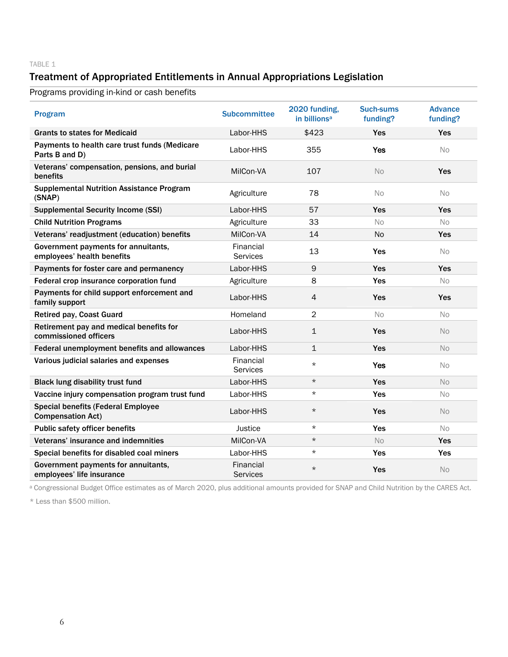#### TABLE 1

# Treatment of Appropriated Entitlements in Annual Appropriations Legislation

Programs providing in-kind or cash benefits

| Program                                                               | <b>Subcommittee</b>          | 2020 funding,<br>in billions <sup>a</sup> | <b>Such-sums</b><br>funding? | <b>Advance</b><br>funding? |
|-----------------------------------------------------------------------|------------------------------|-------------------------------------------|------------------------------|----------------------------|
| <b>Grants to states for Medicaid</b>                                  | Labor-HHS                    | \$423                                     | <b>Yes</b>                   | Yes                        |
| Payments to health care trust funds (Medicare<br>Parts B and D)       | Labor-HHS                    | 355                                       | <b>Yes</b>                   | No                         |
| Veterans' compensation, pensions, and burial<br>benefits              | MilCon-VA                    | 107                                       | No                           | <b>Yes</b>                 |
| <b>Supplemental Nutrition Assistance Program</b><br>(SNAP)            | Agriculture                  | 78                                        | No                           | No                         |
| <b>Supplemental Security Income (SSI)</b>                             | Labor-HHS                    | 57                                        | <b>Yes</b>                   | <b>Yes</b>                 |
| <b>Child Nutrition Programs</b>                                       | Agriculture                  | 33                                        | No.                          | No.                        |
| Veterans' readjustment (education) benefits                           | MilCon-VA                    | 14                                        | <b>No</b>                    | <b>Yes</b>                 |
| Government payments for annuitants,<br>employees' health benefits     | Financial<br>Services        | 13                                        | Yes                          | No.                        |
| Payments for foster care and permanency                               | Labor-HHS                    | 9                                         | Yes                          | Yes                        |
| Federal crop insurance corporation fund                               | Agriculture                  | 8                                         | Yes                          | No                         |
| Payments for child support enforcement and<br>family support          | Labor-HHS                    | 4                                         | Yes                          | Yes                        |
| <b>Retired pay, Coast Guard</b>                                       | Homeland                     | $\overline{2}$                            | No.                          | No.                        |
| Retirement pay and medical benefits for<br>commissioned officers      | Labor-HHS                    | $\mathbf{1}$                              | <b>Yes</b>                   | No.                        |
| Federal unemployment benefits and allowances                          | Labor-HHS                    | $\mathbf{1}$                              | Yes                          | No                         |
| Various judicial salaries and expenses                                | Financial<br><b>Services</b> | $\star$                                   | <b>Yes</b>                   | No.                        |
| <b>Black lung disability trust fund</b>                               | Labor-HHS                    | $\star$                                   | <b>Yes</b>                   | No                         |
| Vaccine injury compensation program trust fund                        | Labor-HHS                    | $\star$                                   | <b>Yes</b>                   | No.                        |
| <b>Special benefits (Federal Employee</b><br><b>Compensation Act)</b> | Labor-HHS                    | $\star$                                   | <b>Yes</b>                   | No.                        |
| <b>Public safety officer benefits</b>                                 | Justice                      | $\star$                                   | Yes                          | <b>No</b>                  |
| Veterans' insurance and indemnities                                   | MilCon-VA                    | $\star$                                   | No                           | <b>Yes</b>                 |
| Special benefits for disabled coal miners                             | Labor-HHS                    | $\star$                                   | Yes                          | Yes                        |
| Government payments for annuitants,<br>employees' life insurance      | Financial<br>Services        | $\star$                                   | Yes                          | <b>No</b>                  |

<sup>a</sup> Congressional Budget Office estimates as of March 2020, plus additional amounts provided for SNAP and Child Nutrition by the CARES Act.

\* Less than \$500 million.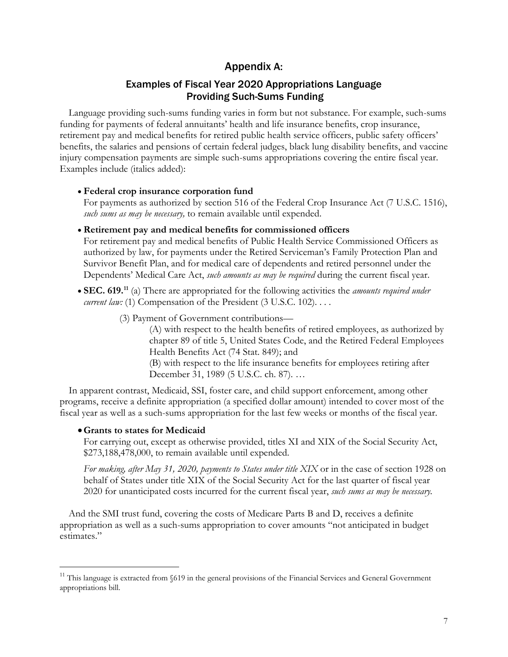# Appendix A:

## Examples of Fiscal Year 2020 Appropriations Language Providing Such-Sums Funding

Language providing such-sums funding varies in form but not substance. For example, such-sums funding for payments of federal annuitants' health and life insurance benefits, crop insurance, retirement pay and medical benefits for retired public health service officers, public safety officers' benefits, the salaries and pensions of certain federal judges, black lung disability benefits, and vaccine injury compensation payments are simple such-sums appropriations covering the entire fiscal year. Examples include (italics added):

#### • **Federal crop insurance corporation fund**

For payments as authorized by section 516 of the Federal Crop Insurance Act (7 U.S.C. 1516), *such sums as may be necessary,* to remain available until expended.

• **Retirement pay and medical benefits for commissioned officers**

For retirement pay and medical benefits of Public Health Service Commissioned Officers as authorized by law, for payments under the Retired Serviceman's Family Protection Plan and Survivor Benefit Plan, and for medical care of dependents and retired personnel under the Dependents' Medical Care Act, *such amounts as may be required* during the current fiscal year.

- **SEC. 619.**<sup>[11](#page-6-0)</sup> (a) There are appropriated for the following activities the *amounts required under current law:* (1) Compensation of the President (3 U.S.C. 102)...
	- (3) Payment of Government contributions—

(A) with respect to the health benefits of retired employees, as authorized by chapter 89 of title 5, United States Code, and the Retired Federal Employees Health Benefits Act (74 Stat. 849); and

(B) with respect to the life insurance benefits for employees retiring after December 31, 1989 (5 U.S.C. ch. 87). …

In apparent contrast, Medicaid, SSI, foster care, and child support enforcement, among other programs, receive a definite appropriation (a specified dollar amount) intended to cover most of the fiscal year as well as a such-sums appropriation for the last few weeks or months of the fiscal year.

## •**Grants to states for Medicaid**

For carrying out, except as otherwise provided, titles XI and XIX of the Social Security Act, \$273,188,478,000, to remain available until expended.

*For making, after May 31, 2020, payments to States under title XIX* or in the case of section 1928 on behalf of States under title XIX of the Social Security Act for the last quarter of fiscal year 2020 for unanticipated costs incurred for the current fiscal year, *such sums as may be necessary.*

And the SMI trust fund, covering the costs of Medicare Parts B and D, receives a definite appropriation as well as a such-sums appropriation to cover amounts "not anticipated in budget estimates."

<span id="page-6-0"></span><sup>&</sup>lt;sup>11</sup> This language is extracted from  $619$  in the general provisions of the Financial Services and General Government appropriations bill.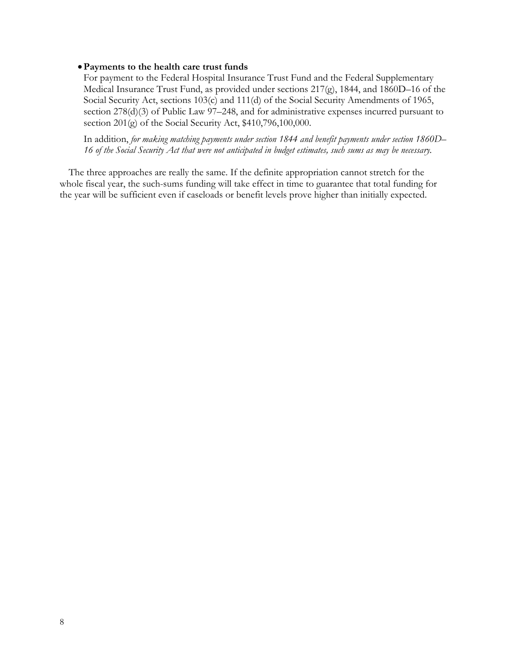#### •**Payments to the health care trust funds**

For payment to the Federal Hospital Insurance Trust Fund and the Federal Supplementary Medical Insurance Trust Fund, as provided under sections 217(g), 1844, and 1860D–16 of the Social Security Act, sections 103(c) and 111(d) of the Social Security Amendments of 1965, section 278(d)(3) of Public Law 97–248, and for administrative expenses incurred pursuant to section 201(g) of the Social Security Act, \$410,796,100,000.

In addition, *for making matching payments under section 1844 and benefit payments under section 1860D– 16 of the Social Security Act that were not anticipated in budget estimates, such sums as may be necessary.*

The three approaches are really the same. If the definite appropriation cannot stretch for the whole fiscal year, the such-sums funding will take effect in time to guarantee that total funding for the year will be sufficient even if caseloads or benefit levels prove higher than initially expected.